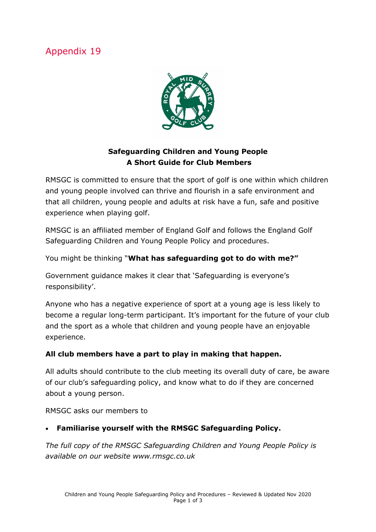# Appendix 19



## **Safeguarding Children and Young People A Short Guide for Club Members**

RMSGC is committed to ensure that the sport of golf is one within which children and young people involved can thrive and flourish in a safe environment and that all children, young people and adults at risk have a fun, safe and positive experience when playing golf.

RMSGC is an affiliated member of England Golf and follows the England Golf Safeguarding Children and Young People Policy and procedures.

You might be thinking "**What has safeguarding got to do with me?"**

Government guidance makes it clear that 'Safeguarding is everyone's responsibility'.

Anyone who has a negative experience of sport at a young age is less likely to become a regular long-term participant. It's important for the future of your club and the sport as a whole that children and young people have an enjoyable experience.

#### **All club members have a part to play in making that happen.**

All adults should contribute to the club meeting its overall duty of care, be aware of our club's safeguarding policy, and know what to do if they are concerned about a young person.

RMSGC asks our members to

#### • **Familiarise yourself with the RMSGC Safeguarding Policy.**

*The full copy of the RMSGC Safeguarding Children and Young People Policy is available on our website www.rmsgc.co.uk*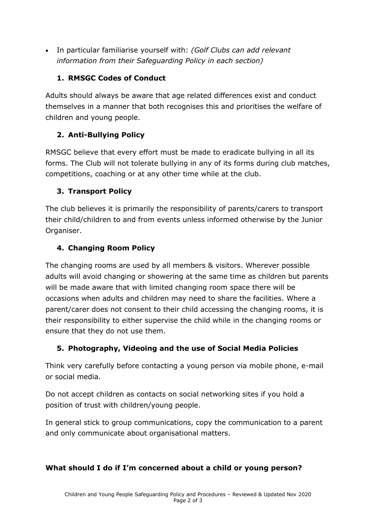• In particular familiarise yourself with: *(Golf Clubs can add relevant information from their Safeguarding Policy in each section)*

### **1. RMSGC Codes of Conduct**

Adults should always be aware that age related differences exist and conduct themselves in a manner that both recognises this and prioritises the welfare of children and young people.

### **2. Anti-Bullying Policy**

RMSGC believe that every effort must be made to eradicate bullying in all its forms. The Club will not tolerate bullying in any of its forms during club matches, competitions, coaching or at any other time while at the club.

### **3. Transport Policy**

The club believes it is primarily the responsibility of parents/carers to transport their child/children to and from events unless informed otherwise by the Junior Organiser.

### **4. Changing Room Policy**

The changing rooms are used by all members & visitors. Wherever possible adults will avoid changing or showering at the same time as children but parents will be made aware that with limited changing room space there will be occasions when adults and children may need to share the facilities. Where a parent/carer does not consent to their child accessing the changing rooms, it is their responsibility to either supervise the child while in the changing rooms or ensure that they do not use them.

# **5. Photography, Videoing and the use of Social Media Policies**

Think very carefully before contacting a young person via mobile phone, e-mail or social media.

Do not accept children as contacts on social networking sites if you hold a position of trust with children/young people.

In general stick to group communications, copy the communication to a parent and only communicate about organisational matters.

#### **What should I do if I'm concerned about a child or young person?**